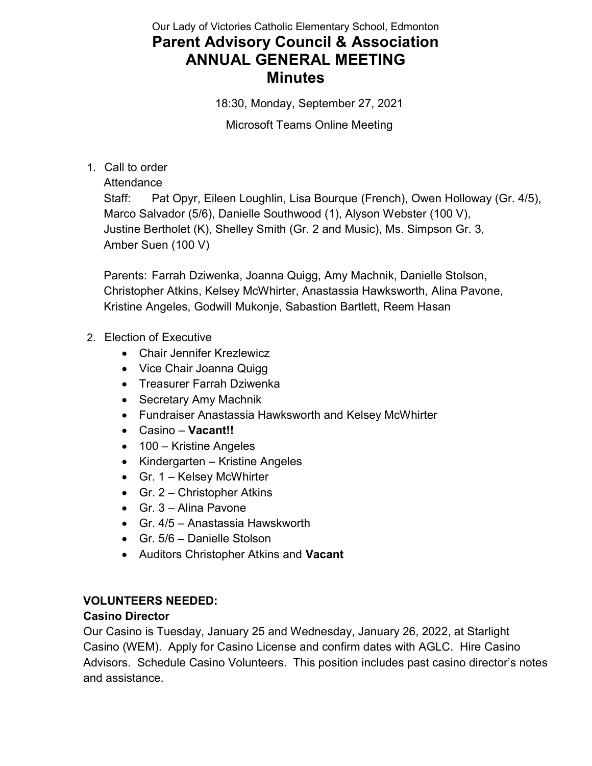# Our Lady of Victories Catholic Elementary School, Edmonton Parent Advisory Council & Association ANNUAL GENERAL MEETING Minutes

18:30, Monday, September 27, 2021

Microsoft Teams Online Meeting

1. Call to order

Attendance

Staff: Pat Opyr, Eileen Loughlin, Lisa Bourque (French), Owen Holloway (Gr. 4/5), Marco Salvador (5/6), Danielle Southwood (1), Alyson Webster (100 V), Justine Bertholet (K), Shelley Smith (Gr. 2 and Music), Ms. Simpson Gr. 3, Amber Suen (100 V)

Parents: Farrah Dziwenka, Joanna Quigg, Amy Machnik, Danielle Stolson, Christopher Atkins, Kelsey McWhirter, Anastassia Hawksworth, Alina Pavone, Kristine Angeles, Godwill Mukonje, Sabastion Bartlett, Reem Hasan

#### 2. Election of Executive

- Chair Jennifer Krezlewicz
- Vice Chair Joanna Quigg
- Treasurer Farrah Dziwenka
- Secretary Amy Machnik
- Fundraiser Anastassia Hawksworth and Kelsey McWhirter
- Casino Vacant!!
- 100 Kristine Angeles
- Kindergarten Kristine Angeles
- Gr. 1 Kelsey McWhirter
- Gr. 2 Christopher Atkins
- Gr. 3 Alina Pavone
- Gr. 4/5 Anastassia Hawskworth
- Gr. 5/6 Danielle Stolson
- Auditors Christopher Atkins and Vacant

#### VOLUNTEERS NEEDED:

#### Casino Director

Our Casino is Tuesday, January 25 and Wednesday, January 26, 2022, at Starlight Casino (WEM). Apply for Casino License and confirm dates with AGLC. Hire Casino Advisors. Schedule Casino Volunteers. This position includes past casino director's notes and assistance.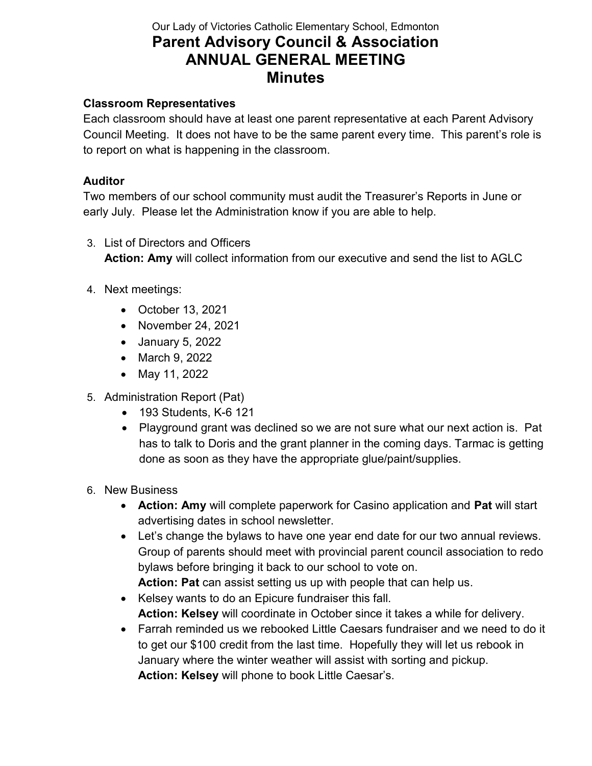# Our Lady of Victories Catholic Elementary School, Edmonton Parent Advisory Council & Association ANNUAL GENERAL MEETING **Minutes**

### Classroom Representatives

Each classroom should have at least one parent representative at each Parent Advisory Council Meeting. It does not have to be the same parent every time. This parent's role is to report on what is happening in the classroom.

#### Auditor

Two members of our school community must audit the Treasurer's Reports in June or early July. Please let the Administration know if you are able to help.

- 3. List of Directors and Officers Action: Amy will collect information from our executive and send the list to AGLC
- 4. Next meetings:
	- October 13, 2021
	- November 24, 2021
	- January 5, 2022
	- March 9, 2022
	- May 11, 2022
- 5. Administration Report (Pat)
	- 193 Students, K-6 121
	- Playground grant was declined so we are not sure what our next action is. Pat has to talk to Doris and the grant planner in the coming days. Tarmac is getting done as soon as they have the appropriate glue/paint/supplies.
- 6. New Business
	- Action: Amy will complete paperwork for Casino application and Pat will start advertising dates in school newsletter.
	- Let's change the bylaws to have one year end date for our two annual reviews. Group of parents should meet with provincial parent council association to redo bylaws before bringing it back to our school to vote on.

Action: Pat can assist setting us up with people that can help us.

- Kelsey wants to do an Epicure fundraiser this fall. Action: Kelsey will coordinate in October since it takes a while for delivery.
- Farrah reminded us we rebooked Little Caesars fundraiser and we need to do it to get our \$100 credit from the last time. Hopefully they will let us rebook in January where the winter weather will assist with sorting and pickup. Action: Kelsey will phone to book Little Caesar's.